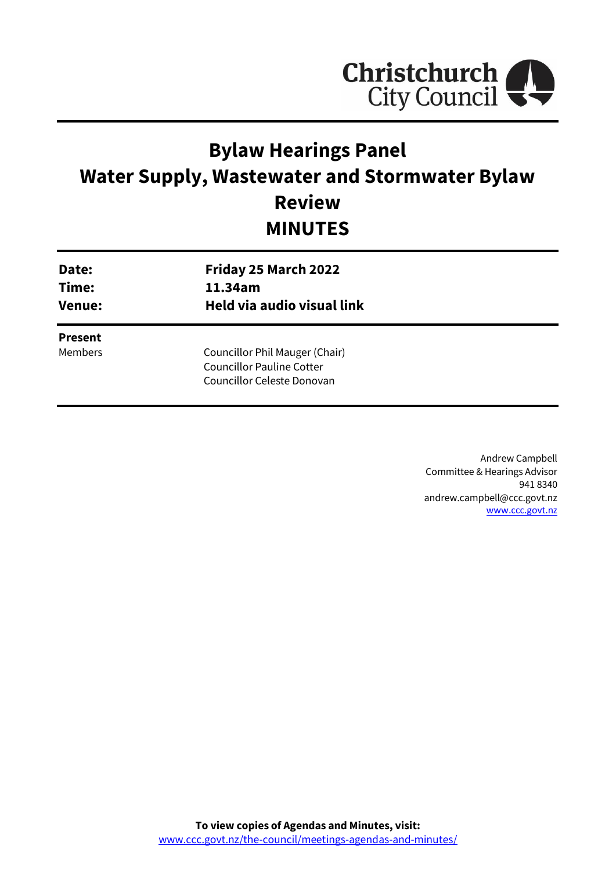

# **Bylaw Hearings Panel Water Supply, Wastewater and Stormwater Bylaw Review MINUTES**

| Date:<br>Time:<br><b>Venue:</b> | Friday 25 March 2022<br>11.34am<br>Held via audio visual link |  |
|---------------------------------|---------------------------------------------------------------|--|
| <b>Present</b>                  |                                                               |  |
| <b>Members</b>                  | Councillor Phil Mauger (Chair)                                |  |
|                                 | <b>Councillor Pauline Cotter</b>                              |  |
|                                 | Councillor Celeste Donovan                                    |  |
|                                 |                                                               |  |

Andrew Campbell Committee & Hearings Advisor 941 8340 andrew.campbell@ccc.govt.nz [www.ccc.govt.nz](http://www.ccc.govt.nz/)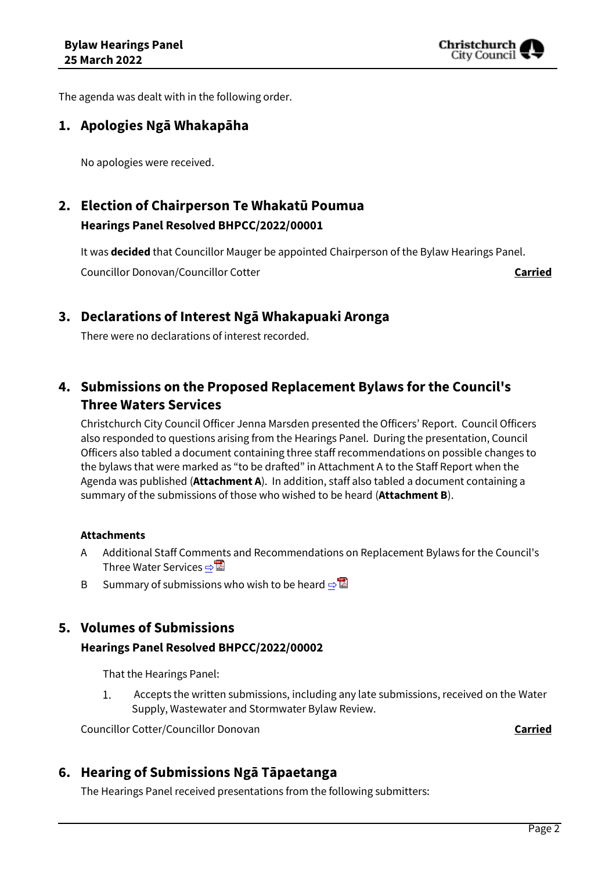

The agenda was dealt with in the following order.

## **1. Apologies Ngā Whakapāha**

No apologies were received.

## **2. Election of Chairperson Te Whakatū Poumua Hearings Panel Resolved BHPCC/2022/00001**

It was **decided** that Councillor Mauger be appointed Chairperson of the Bylaw Hearings Panel. Councillor Donovan/Councillor Cotter **Carried**

## **3. Declarations of Interest Ngā Whakapuaki Aronga**

There were no declarations of interest recorded.

## **4. Submissions on the Proposed Replacement Bylaws for the Council's Three Waters Services**

Christchurch City Council Officer Jenna Marsden presented the Officers' Report. Council Officers also responded to questions arising from the Hearings Panel. During the presentation, Council Officers also tabled a document containing three staff recommendations on possible changes to the bylaws that were marked as "to be drafted" in Attachment A to the Staff Report when the Agenda was published (**Attachment A**). In addition, staff also tabled a document containing a summary of the submissions of those who wished to be heard (**Attachment B**).

#### **Attachments**

- A Additional Staff Comments and Recommendations on Replacement Bylaws for the Council's Three Water Services **⇒**
- B Summary of submissions who wish to be heard  $\Rightarrow^{\mathbb{Z}}$

## **5. Volumes of Submissions**

#### **Hearings Panel Resolved BHPCC/2022/00002**

That the Hearings Panel:

 $1.$ Accepts the written submissions, including any late submissions, received on the Water Supply, Wastewater and Stormwater Bylaw Review.

Councillor Cotter/Councillor Donovan **Carried**

## **6. Hearing of Submissions Ngā Tāpaetanga**

The Hearings Panel received presentations from the following submitters: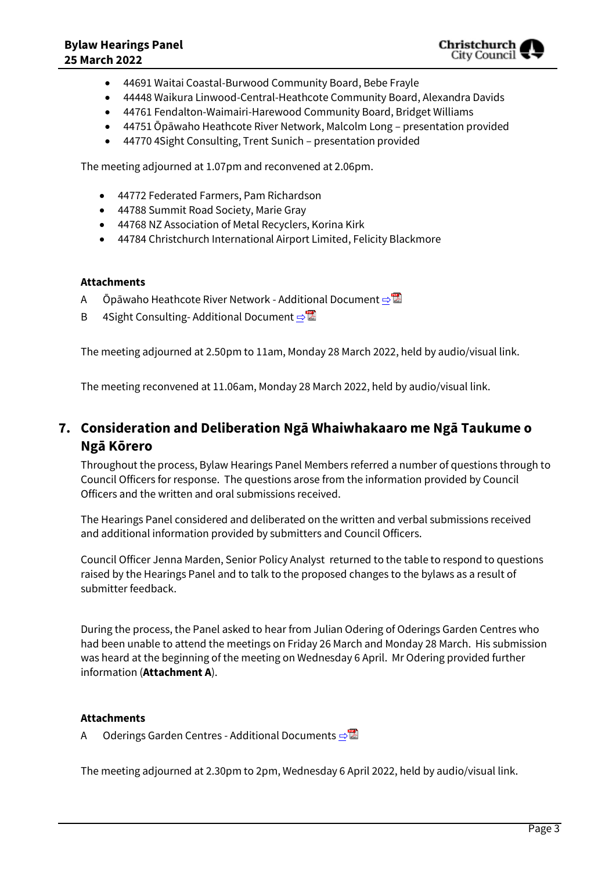- 44691 Waitai Coastal-Burwood Community Board, Bebe Frayle
- 44448 Waikura Linwood-Central-Heathcote Community Board, Alexandra Davids
- 44761 Fendalton-Waimairi-Harewood Community Board, Bridget Williams
- 44751 Ōpāwaho Heathcote River Network, Malcolm Long presentation provided
- 44770 4Sight Consulting, Trent Sunich presentation provided

The meeting adjourned at 1.07pm and reconvened at 2.06pm.

- 44772 Federated Farmers, Pam Richardson
- 44788 Summit Road Society, Marie Gray
- 44768 NZ Association of Metal Recyclers, Korina Kirk
- 44784 Christchurch International Airport Limited, Felicity Blackmore

#### **Attachments**

- A Ōpāwaho Heathcote River Network Additional Document **[⇨](../../../RedirectToInvalidFileName.aspx?FileName=BHPCC_20220325_MAT_7959.PDF#PAGE=15)**
- B 4Sight Consulting-Additional Document **[⇨](../../../RedirectToInvalidFileName.aspx?FileName=BHPCC_20220325_MAT_7959.PDF#PAGE=31)**

The meeting adjourned at 2.50pm to 11am, Monday 28 March 2022, held by audio/visual link.

The meeting reconvened at 11.06am, Monday 28 March 2022, held by audio/visual link.

## **7. Consideration and Deliberation Ngā Whaiwhakaaro me Ngā Taukume o Ngā Kōrero**

Throughout the process, Bylaw Hearings Panel Members referred a number of questions through to Council Officers for response. The questions arose from the information provided by Council Officers and the written and oral submissions received.

The Hearings Panel considered and deliberated on the written and verbal submissions received and additional information provided by submitters and Council Officers.

Council Officer Jenna Marden, Senior Policy Analyst returned to the table to respond to questions raised by the Hearings Panel and to talk to the proposed changes to the bylaws as a result of submitter feedback.

During the process, the Panel asked to hear from Julian Odering of Oderings Garden Centres who had been unable to attend the meetings on Friday 26 March and Monday 28 March. His submission was heard at the beginning of the meeting on Wednesday 6 April. Mr Odering provided further information (**Attachment A**).

#### **Attachments**

A Oderings Garden Centres - Additional Documents **[⇨](../../../RedirectToInvalidFileName.aspx?FileName=BHPCC_20220325_MAT_7959.PDF#PAGE=47)</u>** 

The meeting adjourned at 2.30pm to 2pm, Wednesday 6 April 2022, held by audio/visual link.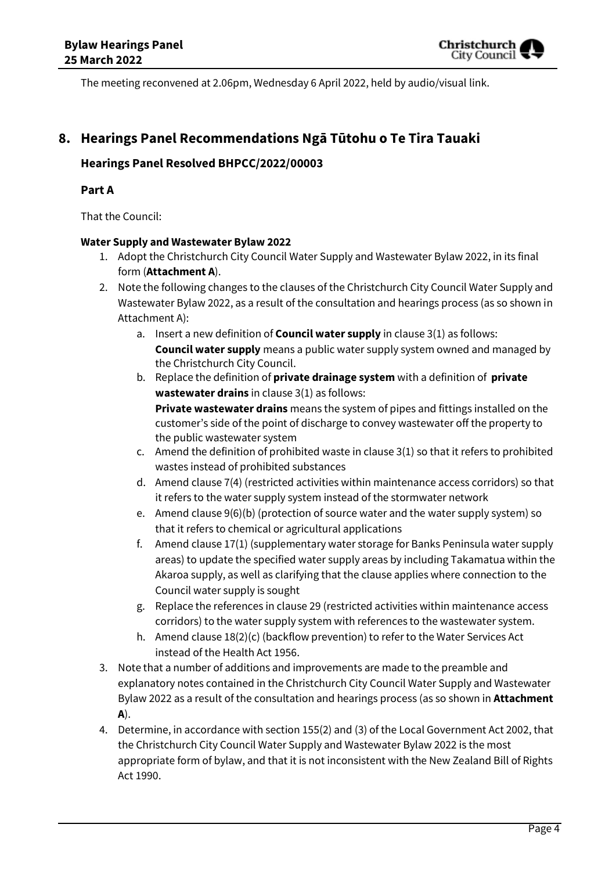The meeting reconvened at 2.06pm, Wednesday 6 April 2022, held by audio/visual link.

## **8. Hearings Panel Recommendations Ngā Tūtohu o Te Tira Tauaki**

### **Hearings Panel Resolved BHPCC/2022/00003**

#### **Part A**

That the Council:

#### **Water Supply and Wastewater Bylaw 2022**

- 1. Adopt the Christchurch City Council Water Supply and Wastewater Bylaw 2022, in its final form (**Attachment A**).
- 2. Note the following changes to the clauses of the Christchurch City Council Water Supply and Wastewater Bylaw 2022, as a result of the consultation and hearings process (as so shown in Attachment A):
	- a. Insert a new definition of **Council water supply** in clause 3(1) as follows: **Council water supply** means a public water supply system owned and managed by the Christchurch City Council.
	- b. Replace the definition of **private drainage system** with a definition of **private wastewater drains** in clause 3(1) as follows: **Private wastewater drains** means the system of pipes and fittings installed on the customer's side of the point of discharge to convey wastewater off the property to the public wastewater system
	- c. Amend the definition of prohibited waste in clause 3(1) so that it refers to prohibited wastes instead of prohibited substances
	- d. Amend clause 7(4) (restricted activities within maintenance access corridors) so that it refers to the water supply system instead of the stormwater network
	- e. Amend clause 9(6)(b) (protection of source water and the water supply system) so that it refers to chemical or agricultural applications
	- f. Amend clause 17(1) (supplementary water storage for Banks Peninsula water supply areas) to update the specified water supply areas by including Takamatua within the Akaroa supply, as well as clarifying that the clause applies where connection to the Council water supply is sought
	- g. Replace the references in clause 29 (restricted activities within maintenance access corridors) to the water supply system with references to the wastewater system.
	- h. Amend clause 18(2)(c) (backflow prevention) to refer to the Water Services Act instead of the Health Act 1956.
- 3. Note that a number of additions and improvements are made to the preamble and explanatory notes contained in the Christchurch City Council Water Supply and Wastewater Bylaw 2022 as a result of the consultation and hearings process (as so shown in **Attachment A**).
- 4. Determine, in accordance with section 155(2) and (3) of the Local Government Act 2002, that the Christchurch City Council Water Supply and Wastewater Bylaw 2022 is the most appropriate form of bylaw, and that it is not inconsistent with the New Zealand Bill of Rights Act 1990.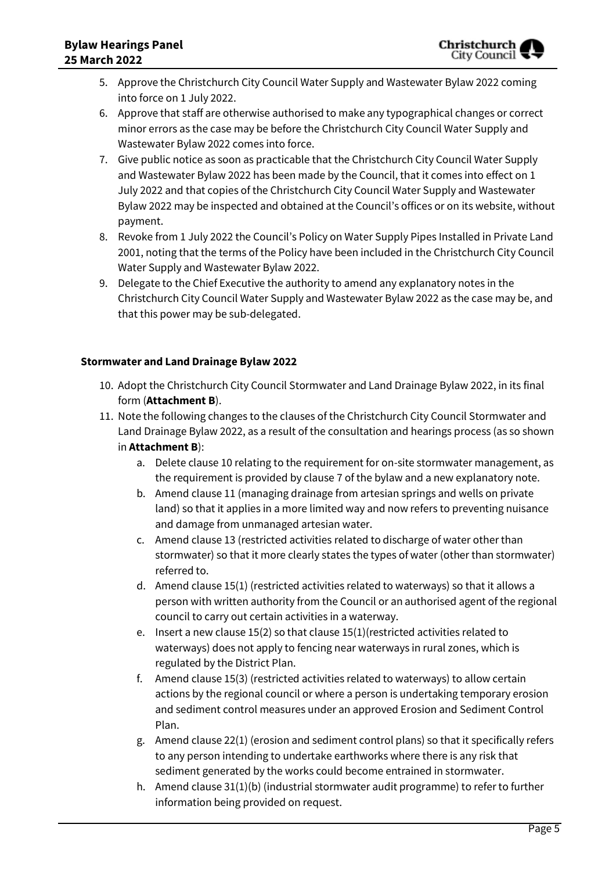- 5. Approve the Christchurch City Council Water Supply and Wastewater Bylaw 2022 coming into force on 1 July 2022.
- 6. Approve that staff are otherwise authorised to make any typographical changes or correct minor errors as the case may be before the Christchurch City Council Water Supply and Wastewater Bylaw 2022 comes into force.
- 7. Give public notice as soon as practicable that the Christchurch City Council Water Supply and Wastewater Bylaw 2022 has been made by the Council, that it comes into effect on 1 July 2022 and that copies of the Christchurch City Council Water Supply and Wastewater Bylaw 2022 may be inspected and obtained at the Council's offices or on its website, without payment.
- 8. Revoke from 1 July 2022 the Council's Policy on Water Supply Pipes Installed in Private Land 2001, noting that the terms of the Policy have been included in the Christchurch City Council Water Supply and Wastewater Bylaw 2022.
- 9. Delegate to the Chief Executive the authority to amend any explanatory notes in the Christchurch City Council Water Supply and Wastewater Bylaw 2022 as the case may be, and that this power may be sub-delegated.

### **Stormwater and Land Drainage Bylaw 2022**

- 10. Adopt the Christchurch City Council Stormwater and Land Drainage Bylaw 2022, in its final form (**Attachment B**).
- 11. Note the following changes to the clauses of the Christchurch City Council Stormwater and Land Drainage Bylaw 2022, as a result of the consultation and hearings process (as so shown in **Attachment B**):
	- a. Delete clause 10 relating to the requirement for on-site stormwater management, as the requirement is provided by clause 7 of the bylaw and a new explanatory note.
	- b. Amend clause 11 (managing drainage from artesian springs and wells on private land) so that it applies in a more limited way and now refers to preventing nuisance and damage from unmanaged artesian water.
	- c. Amend clause 13 (restricted activities related to discharge of water other than stormwater) so that it more clearly states the types of water (other than stormwater) referred to.
	- d. Amend clause 15(1) (restricted activities related to waterways) so that it allows a person with written authority from the Council or an authorised agent of the regional council to carry out certain activities in a waterway.
	- e. Insert a new clause 15(2) so that clause 15(1)(restricted activities related to waterways) does not apply to fencing near waterways in rural zones, which is regulated by the District Plan.
	- f. Amend clause 15(3) (restricted activities related to waterways) to allow certain actions by the regional council or where a person is undertaking temporary erosion and sediment control measures under an approved Erosion and Sediment Control Plan.
	- g. Amend clause 22(1) (erosion and sediment control plans) so that it specifically refers to any person intending to undertake earthworks where there is any risk that sediment generated by the works could become entrained in stormwater.
	- h. Amend clause 31(1)(b) (industrial stormwater audit programme) to refer to further information being provided on request.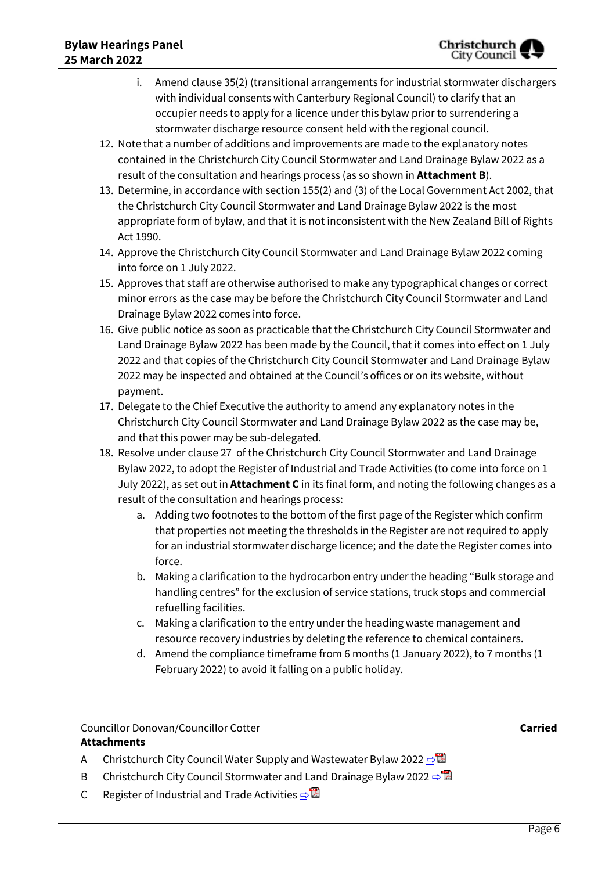- i. Amend clause 35(2) (transitional arrangements for industrial stormwater dischargers with individual consents with Canterbury Regional Council) to clarify that an occupier needs to apply for a licence under this bylaw prior to surrendering a stormwater discharge resource consent held with the regional council.
- 12. Note that a number of additions and improvements are made to the explanatory notes contained in the Christchurch City Council Stormwater and Land Drainage Bylaw 2022 as a result of the consultation and hearings process (as so shown in **Attachment B**).
- 13. Determine, in accordance with section 155(2) and (3) of the Local Government Act 2002, that the Christchurch City Council Stormwater and Land Drainage Bylaw 2022 is the most appropriate form of bylaw, and that it is not inconsistent with the New Zealand Bill of Rights Act 1990.
- 14. Approve the Christchurch City Council Stormwater and Land Drainage Bylaw 2022 coming into force on 1 July 2022.
- 15. Approves that staff are otherwise authorised to make any typographical changes or correct minor errors as the case may be before the Christchurch City Council Stormwater and Land Drainage Bylaw 2022 comes into force.
- 16. Give public notice as soon as practicable that the Christchurch City Council Stormwater and Land Drainage Bylaw 2022 has been made by the Council, that it comes into effect on 1 July 2022 and that copies of the Christchurch City Council Stormwater and Land Drainage Bylaw 2022 may be inspected and obtained at the Council's offices or on its website, without payment.
- 17. Delegate to the Chief Executive the authority to amend any explanatory notes in the Christchurch City Council Stormwater and Land Drainage Bylaw 2022 as the case may be, and that this power may be sub-delegated.
- 18. Resolve under clause 27 of the Christchurch City Council Stormwater and Land Drainage Bylaw 2022, to adopt the Register of Industrial and Trade Activities (to come into force on 1 July 2022), as set out in **Attachment C** in its final form, and noting the following changes as a result of the consultation and hearings process:
	- a. Adding two footnotes to the bottom of the first page of the Register which confirm that properties not meeting the thresholds in the Register are not required to apply for an industrial stormwater discharge licence; and the date the Register comes into force.
	- b. Making a clarification to the hydrocarbon entry under the heading "Bulk storage and handling centres" for the exclusion of service stations, truck stops and commercial refuelling facilities.
	- c. Making a clarification to the entry under the heading waste management and resource recovery industries by deleting the reference to chemical containers.
	- d. Amend the compliance timeframe from 6 months (1 January 2022), to 7 months (1 February 2022) to avoid it falling on a public holiday.

## Councillor Donovan/Councillor Cotter **Carried**

## **Attachments**

- A Christchurch City Council Water Supply and Wastewater Bylaw 2022  $\Rightarrow$
- B Christchurch City Council Stormwater and Land Drainage Bylaw 2022  $\Rightarrow$
- C Register of Industrial and Trade Activities  $\Rightarrow$